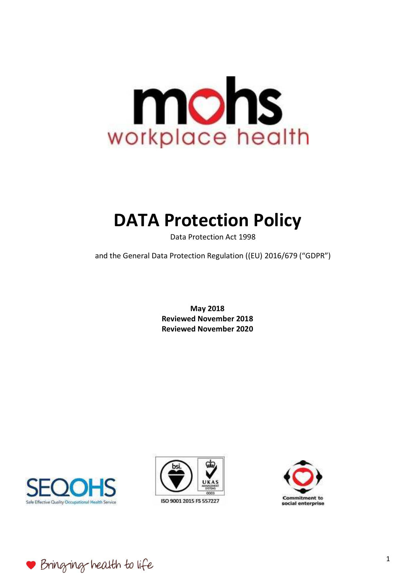

# **DATA Protection Policy**

Data Protection Act 1998

and the General Data Protection Regulation ((EU) 2016/679 ("GDPR")

**May 2018 Reviewed November 2018 Reviewed November 2020** 







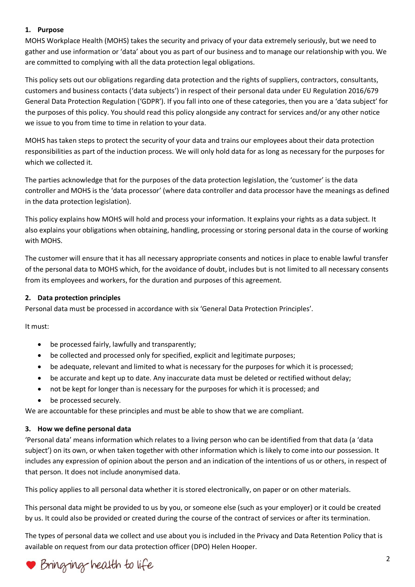## **1. Purpose**

MOHS Workplace Health (MOHS) takes the security and privacy of your data extremely seriously, but we need to gather and use information or 'data' about you as part of our business and to manage our relationship with you. We are committed to complying with all the data protection legal obligations.

This policy sets out our obligations regarding data protection and the rights of suppliers, contractors, consultants, customers and business contacts ('data subjects') in respect of their personal data under EU Regulation 2016/679 General Data Protection Regulation ('GDPR'). If you fall into one of these categories, then you are a 'data subject' for the purposes of this policy. You should read this policy alongside any contract for services and/or any other notice we issue to you from time to time in relation to your data.

MOHS has taken steps to protect the security of your data and trains our employees about their data protection responsibilities as part of the induction process. We will only hold data for as long as necessary for the purposes for which we collected it.

The parties acknowledge that for the purposes of the data protection legislation, the 'customer' is the data controller and MOHS is the 'data processor' (where data controller and data processor have the meanings as defined in the data protection legislation).

This policy explains how MOHS will hold and process your information. It explains your rights as a data subject. It also explains your obligations when obtaining, handling, processing or storing personal data in the course of working with MOHS.

The customer will ensure that it has all necessary appropriate consents and notices in place to enable lawful transfer of the personal data to MOHS which, for the avoidance of doubt, includes but is not limited to all necessary consents from its employees and workers, for the duration and purposes of this agreement.

## **2. Data protection principles**

Personal data must be processed in accordance with six 'General Data Protection Principles'.

It must:

- be processed fairly, lawfully and transparently;
- be collected and processed only for specified, explicit and legitimate purposes;
- be adequate, relevant and limited to what is necessary for the purposes for which it is processed;
- be accurate and kept up to date. Any inaccurate data must be deleted or rectified without delay;
- not be kept for longer than is necessary for the purposes for which it is processed; and
- be processed securely.

We are accountable for these principles and must be able to show that we are compliant.

#### **3. How we define personal data**

'Personal data' means information which relates to a living person who can be identified from that data (a 'data subject') on its own, or when taken together with other information which is likely to come into our possession. It includes any expression of opinion about the person and an indication of the intentions of us or others, in respect of that person. It does not include anonymised data.

This policy applies to all personal data whether it is stored electronically, on paper or on other materials.

This personal data might be provided to us by you, or someone else (such as your employer) or it could be created by us. It could also be provided or created during the course of the contract of services or after its termination.

The types of personal data we collect and use about you is included in the Privacy and Data Retention Policy that is available on request from our data protection officer (DPO) Helen Hooper.

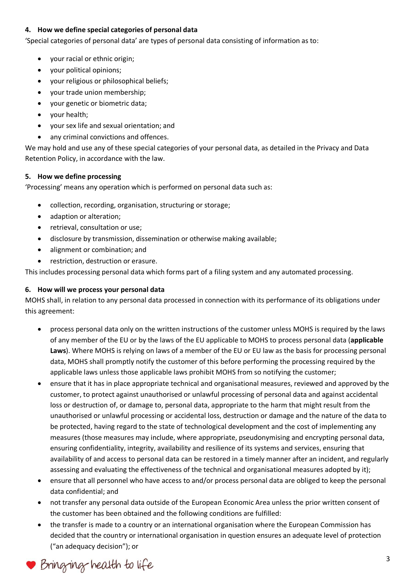## **4. How we define special categories of personal data**

'Special categories of personal data' are types of personal data consisting of information as to:

- your racial or ethnic origin;
- your political opinions;
- your religious or philosophical beliefs;
- your trade union membership;
- your genetic or biometric data;
- your health;
- your sex life and sexual orientation; and
- any criminal convictions and offences.

We may hold and use any of these special categories of your personal data, as detailed in the Privacy and Data Retention Policy, in accordance with the law.

# **5. How we define processing**

'Processing' means any operation which is performed on personal data such as:

- collection, recording, organisation, structuring or storage;
- adaption or alteration;
- retrieval, consultation or use;
- disclosure by transmission, dissemination or otherwise making available;
- alignment or combination; and
- restriction, destruction or erasure.

This includes processing personal data which forms part of a filing system and any automated processing.

## **6. How will we process your personal data**

MOHS shall, in relation to any personal data processed in connection with its performance of its obligations under this agreement:

- process personal data only on the written instructions of the customer unless MOHS is required by the laws of any member of the EU or by the laws of the EU applicable to MOHS to process personal data (**applicable Laws**). Where MOHS is relying on laws of a member of the EU or EU law as the basis for processing personal data, MOHS shall promptly notify the customer of this before performing the processing required by the applicable laws unless those applicable laws prohibit MOHS from so notifying the customer;
- ensure that it has in place appropriate technical and organisational measures, reviewed and approved by the customer, to protect against unauthorised or unlawful processing of personal data and against accidental loss or destruction of, or damage to, personal data, appropriate to the harm that might result from the unauthorised or unlawful processing or accidental loss, destruction or damage and the nature of the data to be protected, having regard to the state of technological development and the cost of implementing any measures (those measures may include, where appropriate, pseudonymising and encrypting personal data, ensuring confidentiality, integrity, availability and resilience of its systems and services, ensuring that availability of and access to personal data can be restored in a timely manner after an incident, and regularly assessing and evaluating the effectiveness of the technical and organisational measures adopted by it);
- ensure that all personnel who have access to and/or process personal data are obliged to keep the personal data confidential; and
- not transfer any personal data outside of the European Economic Area unless the prior written consent of the customer has been obtained and the following conditions are fulfilled:
- the transfer is made to a country or an international organisation where the European Commission has decided that the country or international organisation in question ensures an adequate level of protection ("an adequacy decision"); or

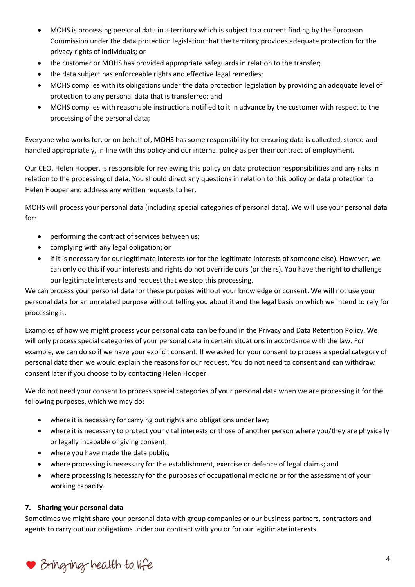- MOHS is processing personal data in a territory which is subject to a current finding by the European Commission under the data protection legislation that the territory provides adequate protection for the privacy rights of individuals; or
- the customer or MOHS has provided appropriate safeguards in relation to the transfer;
- the data subject has enforceable rights and effective legal remedies;
- MOHS complies with its obligations under the data protection legislation by providing an adequate level of protection to any personal data that is transferred; and
- MOHS complies with reasonable instructions notified to it in advance by the customer with respect to the processing of the personal data;

Everyone who works for, or on behalf of, MOHS has some responsibility for ensuring data is collected, stored and handled appropriately, in line with this policy and our internal policy as per their contract of employment.

Our CEO, Helen Hooper, is responsible for reviewing this policy on data protection responsibilities and any risks in relation to the processing of data. You should direct any questions in relation to this policy or data protection to Helen Hooper and address any written requests to her.

MOHS will process your personal data (including special categories of personal data). We will use your personal data for:

- performing the contract of services between us;
- complying with any legal obligation; or
- if it is necessary for our legitimate interests (or for the legitimate interests of someone else). However, we can only do this if your interests and rights do not override ours (or theirs). You have the right to challenge our legitimate interests and request that we stop this processing.

We can process your personal data for these purposes without your knowledge or consent. We will not use your personal data for an unrelated purpose without telling you about it and the legal basis on which we intend to rely for processing it.

Examples of how we might process your personal data can be found in the Privacy and Data Retention Policy. We will only process special categories of your personal data in certain situations in accordance with the law. For example, we can do so if we have your explicit consent. If we asked for your consent to process a special category of personal data then we would explain the reasons for our request. You do not need to consent and can withdraw consent later if you choose to by contacting Helen Hooper.

We do not need your consent to process special categories of your personal data when we are processing it for the following purposes, which we may do:

- where it is necessary for carrying out rights and obligations under law;
- where it is necessary to protect your vital interests or those of another person where you/they are physically or legally incapable of giving consent;
- where you have made the data public;
- where processing is necessary for the establishment, exercise or defence of legal claims; and
- where processing is necessary for the purposes of occupational medicine or for the assessment of your working capacity.

#### **7. Sharing your personal data**

Sometimes we might share your personal data with group companies or our business partners, contractors and agents to carry out our obligations under our contract with you or for our legitimate interests.

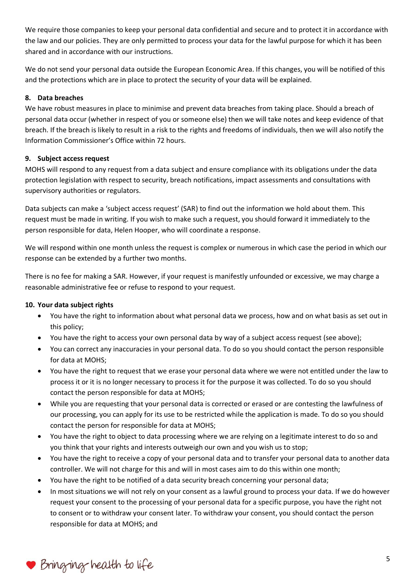We require those companies to keep your personal data confidential and secure and to protect it in accordance with the law and our policies. They are only permitted to process your data for the lawful purpose for which it has been shared and in accordance with our instructions.

We do not send your personal data outside the European Economic Area. If this changes, you will be notified of this and the protections which are in place to protect the security of your data will be explained.

## **8. Data breaches**

We have robust measures in place to minimise and prevent data breaches from taking place. Should a breach of personal data occur (whether in respect of you or someone else) then we will take notes and keep evidence of that breach. If the breach is likely to result in a risk to the rights and freedoms of individuals, then we will also notify the Information Commissioner's Office within 72 hours.

## **9. Subject access request**

MOHS will respond to any request from a data subject and ensure compliance with its obligations under the data protection legislation with respect to security, breach notifications, impact assessments and consultations with supervisory authorities or regulators.

Data subjects can make a 'subject access request' (SAR) to find out the information we hold about them. This request must be made in writing. If you wish to make such a request, you should forward it immediately to the person responsible for data, Helen Hooper, who will coordinate a response.

We will respond within one month unless the request is complex or numerous in which case the period in which our response can be extended by a further two months.

There is no fee for making a SAR. However, if your request is manifestly unfounded or excessive, we may charge a reasonable administrative fee or refuse to respond to your request.

# **10. Your data subject rights**

- You have the right to information about what personal data we process, how and on what basis as set out in this policy;
- You have the right to access your own personal data by way of a subject access request (see above);
- You can correct any inaccuracies in your personal data. To do so you should contact the person responsible for data at MOHS;
- You have the right to request that we erase your personal data where we were not entitled under the law to process it or it is no longer necessary to process it for the purpose it was collected. To do so you should contact the person responsible for data at MOHS;
- While you are requesting that your personal data is corrected or erased or are contesting the lawfulness of our processing, you can apply for its use to be restricted while the application is made. To do so you should contact the person for responsible for data at MOHS;
- You have the right to object to data processing where we are relying on a legitimate interest to do so and you think that your rights and interests outweigh our own and you wish us to stop;
- You have the right to receive a copy of your personal data and to transfer your personal data to another data controller. We will not charge for this and will in most cases aim to do this within one month;
- You have the right to be notified of a data security breach concerning your personal data;
- In most situations we will not rely on your consent as a lawful ground to process your data. If we do however request your consent to the processing of your personal data for a specific purpose, you have the right not to consent or to withdraw your consent later. To withdraw your consent, you should contact the person responsible for data at MOHS; and